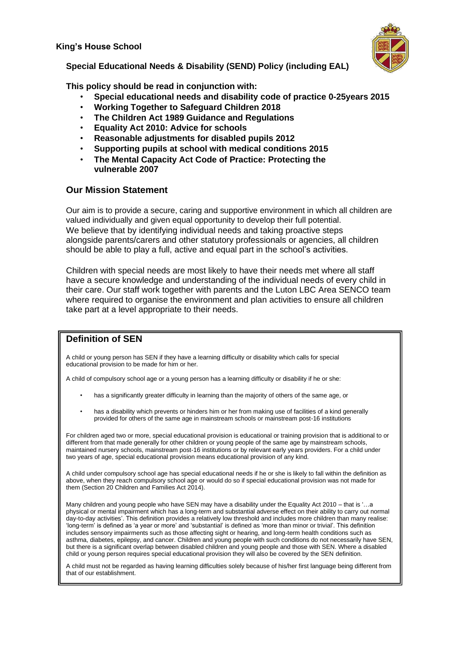**King's House School**



**Special Educational Needs & Disability (SEND) Policy (including EAL)**

**This policy should be read in conjunction with:**

- **Special educational needs and disability code of practice 0-25years 2015**
- **Working Together to Safeguard Children 2018**
- **The Children Act 1989 Guidance and Regulations**
- **Equality Act 2010: Advice for schools**
- **Reasonable adjustments for disabled pupils 2012**
- **Supporting pupils at school with medical conditions 2015**
- **The Mental Capacity Act Code of Practice: Protecting the vulnerable 2007**

## **Our Mission Statement**

Our aim is to provide a secure, caring and supportive environment in which all children are valued individually and given equal opportunity to develop their full potential. We believe that by identifying individual needs and taking proactive steps alongside parents/carers and other statutory professionals or agencies, all children should be able to play a full, active and equal part in the school's activities.

Children with special needs are most likely to have their needs met where all staff have a secure knowledge and understanding of the individual needs of every child in their care. Our staff work together with parents and the Luton LBC Area SENCO team where required to organise the environment and plan activities to ensure all children take part at a level appropriate to their needs.

# **Definition of SEN**

A child or young person has SEN if they have a learning difficulty or disability which calls for special educational provision to be made for him or her.

A child of compulsory school age or a young person has a learning difficulty or disability if he or she:

- has a significantly greater difficulty in learning than the majority of others of the same age, or
- has a disability which prevents or hinders him or her from making use of facilities of a kind generally provided for others of the same age in mainstream schools or mainstream post-16 institutions

For children aged two or more, special educational provision is educational or training provision that is additional to or different from that made generally for other children or young people of the same age by mainstream schools, maintained nursery schools, mainstream post-16 institutions or by relevant early years providers. For a child under two years of age, special educational provision means educational provision of any kind.

A child under compulsory school age has special educational needs if he or she is likely to fall within the definition as above, when they reach compulsory school age or would do so if special educational provision was not made for them (Section 20 Children and Families Act 2014).

Many children and young people who have SEN may have a disability under the Equality Act 2010 – that is '...a physical or mental impairment which has a long-term and substantial adverse effect on their ability to carry out normal day-to-day activities'. This definition provides a relatively low threshold and includes more children than many realise: 'long-term' is defined as 'a year or more' and 'substantial' is defined as 'more than minor or trivial'. This definition includes sensory impairments such as those affecting sight or hearing, and long-term health conditions such as asthma, diabetes, epilepsy, and cancer. Children and young people with such conditions do not necessarily have SEN, but there is a significant overlap between disabled children and young people and those with SEN. Where a disabled child or young person requires special educational provision they will also be covered by the SEN definition.

A child must not be regarded as having learning difficulties solely because of his/her first language being different from that of our establishment.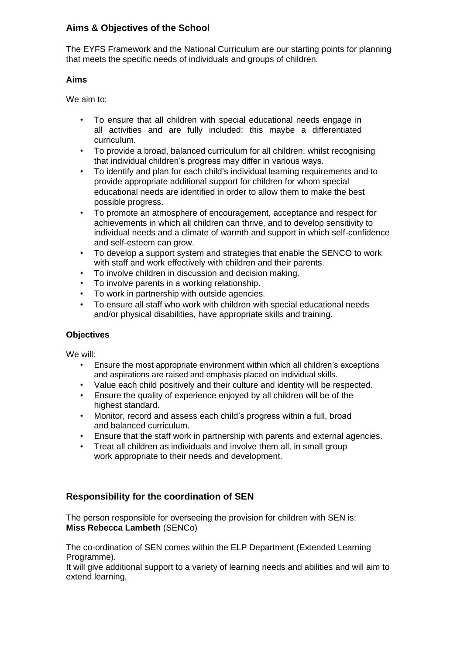# **Aims & Objectives of the School**

The EYFS Framework and the National Curriculum are our starting points for planning that meets the specific needs of individuals and groups of children.

## **Aims**

We aim to:

- To ensure that all children with special educational needs engage in all activities and are fully included; this maybe a differentiated curriculum.
- To provide a broad, balanced curriculum for all children, whilst recognising that individual children's progress may differ in various ways.
- To identify and plan for each child's individual learning requirements and to provide appropriate additional support for children for whom special educational needs are identified in order to allow them to make the best possible progress.
- To promote an atmosphere of encouragement, acceptance and respect for achievements in which all children can thrive, and to develop sensitivity to individual needs and a climate of warmth and support in which self-confidence and self-esteem can grow.
- To develop a support system and strategies that enable the SENCO to work with staff and work effectively with children and their parents.
- To involve children in discussion and decision making.
- To involve parents in a working relationship.
- To work in partnership with outside agencies.
- To ensure all staff who work with children with special educational needs and/or physical disabilities, have appropriate skills and training.

# **Objectives**

We will:

- Ensure the most appropriate environment within which all children's exceptions and aspirations are raised and emphasis placed on individual skills.
- Value each child positively and their culture and identity will be respected.
- Ensure the quality of experience enjoyed by all children will be of the highest standard.
- Monitor, record and assess each child's progress within a full, broad and balanced curriculum.
- Ensure that the staff work in partnership with parents and external agencies.
- Treat all children as individuals and involve them all, in small group work appropriate to their needs and development.

# **Responsibility for the coordination of SEN**

The person responsible for overseeing the provision for children with SEN is: **Miss Rebecca Lambeth** (SENCo)

The co-ordination of SEN comes within the ELP Department (Extended Learning Programme).

It will give additional support to a variety of learning needs and abilities and will aim to extend learning.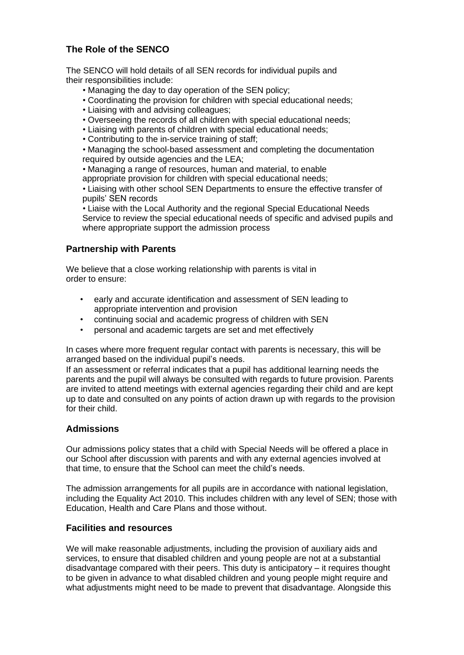# **The Role of the SENCO**

The SENCO will hold details of all SEN records for individual pupils and their responsibilities include:

- Managing the day to day operation of the SEN policy;
- Coordinating the provision for children with special educational needs;
- Liaising with and advising colleagues;
- Overseeing the records of all children with special educational needs;
- Liaising with parents of children with special educational needs;
- Contributing to the in-service training of staff;

• Managing the school-based assessment and completing the documentation required by outside agencies and the LEA;

• Managing a range of resources, human and material, to enable

appropriate provision for children with special educational needs;

• Liaising with other school SEN Departments to ensure the effective transfer of pupils' SEN records

• Liaise with the Local Authority and the regional Special Educational Needs Service to review the special educational needs of specific and advised pupils and where appropriate support the admission process

## **Partnership with Parents**

We believe that a close working relationship with parents is vital in order to ensure:

- early and accurate identification and assessment of SEN leading to appropriate intervention and provision
- continuing social and academic progress of children with SEN
- personal and academic targets are set and met effectively

In cases where more frequent regular contact with parents is necessary, this will be arranged based on the individual pupil's needs.

If an assessment or referral indicates that a pupil has additional learning needs the parents and the pupil will always be consulted with regards to future provision. Parents are invited to attend meetings with external agencies regarding their child and are kept up to date and consulted on any points of action drawn up with regards to the provision for their child.

### **Admissions**

Our admissions policy states that a child with Special Needs will be offered a place in our School after discussion with parents and with any external agencies involved at that time, to ensure that the School can meet the child's needs.

The admission arrangements for all pupils are in accordance with national legislation, including the Equality Act 2010. This includes children with any level of SEN; those with Education, Health and Care Plans and those without.

### **Facilities and resources**

We will make reasonable adjustments, including the provision of auxiliary aids and services, to ensure that disabled children and young people are not at a substantial disadvantage compared with their peers. This duty is anticipatory – it requires thought to be given in advance to what disabled children and young people might require and what adjustments might need to be made to prevent that disadvantage. Alongside this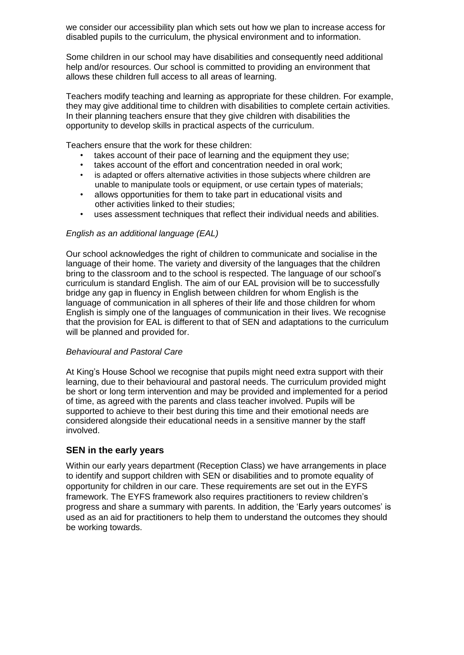we consider our accessibility plan which sets out how we plan to increase access for disabled pupils to the curriculum, the physical environment and to information.

Some children in our school may have disabilities and consequently need additional help and/or resources. Our school is committed to providing an environment that allows these children full access to all areas of learning.

Teachers modify teaching and learning as appropriate for these children. For example, they may give additional time to children with disabilities to complete certain activities. In their planning teachers ensure that they give children with disabilities the opportunity to develop skills in practical aspects of the curriculum.

Teachers ensure that the work for these children:

- takes account of their pace of learning and the equipment they use;
- takes account of the effort and concentration needed in oral work;
- is adapted or offers alternative activities in those subjects where children are unable to manipulate tools or equipment, or use certain types of materials;
- allows opportunities for them to take part in educational visits and other activities linked to their studies;
- uses assessment techniques that reflect their individual needs and abilities.

### *English as an additional language (EAL)*

Our school acknowledges the right of children to communicate and socialise in the language of their home. The variety and diversity of the languages that the children bring to the classroom and to the school is respected. The language of our school's curriculum is standard English. The aim of our EAL provision will be to successfully bridge any gap in fluency in English between children for whom English is the language of communication in all spheres of their life and those children for whom English is simply one of the languages of communication in their lives. We recognise that the provision for EAL is different to that of SEN and adaptations to the curriculum will be planned and provided for.

### *Behavioural and Pastoral Care*

At King's House School we recognise that pupils might need extra support with their learning, due to their behavioural and pastoral needs. The curriculum provided might be short or long term intervention and may be provided and implemented for a period of time, as agreed with the parents and class teacher involved. Pupils will be supported to achieve to their best during this time and their emotional needs are considered alongside their educational needs in a sensitive manner by the staff involved.

### **SEN in the early years**

Within our early years department (Reception Class) we have arrangements in place to identify and support children with SEN or disabilities and to promote equality of opportunity for children in our care. These requirements are set out in the EYFS framework. The EYFS framework also requires practitioners to review children's progress and share a summary with parents. In addition, the 'Early years outcomes' is used as an aid for practitioners to help them to understand the outcomes they should be working towards.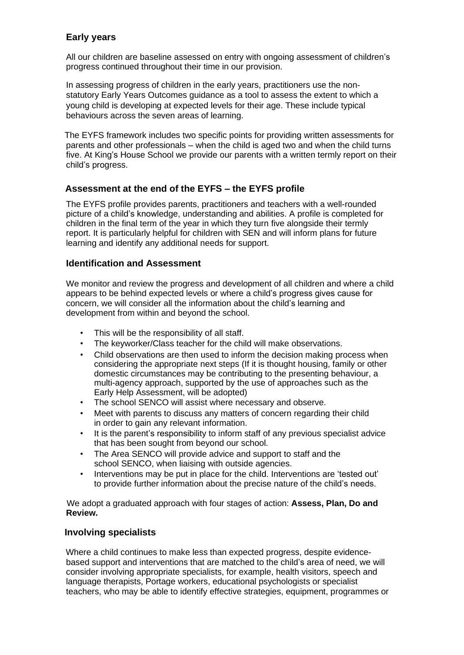# **Early years**

All our children are baseline assessed on entry with ongoing assessment of children's progress continued throughout their time in our provision.

In assessing progress of children in the early years, practitioners use the nonstatutory Early Years Outcomes guidance as a tool to assess the extent to which a young child is developing at expected levels for their age. These include typical behaviours across the seven areas of learning.

The EYFS framework includes two specific points for providing written assessments for parents and other professionals – when the child is aged two and when the child turns five. At King's House School we provide our parents with a written termly report on their child's progress.

# **Assessment at the end of the EYFS – the EYFS profile**

The EYFS profile provides parents, practitioners and teachers with a well-rounded picture of a child's knowledge, understanding and abilities. A profile is completed for children in the final term of the year in which they turn five alongside their termly report. It is particularly helpful for children with SEN and will inform plans for future learning and identify any additional needs for support.

## **Identification and Assessment**

We monitor and review the progress and development of all children and where a child appears to be behind expected levels or where a child's progress gives cause for concern, we will consider all the information about the child's learning and development from within and beyond the school.

- This will be the responsibility of all staff.
- The keyworker/Class teacher for the child will make observations.
- Child observations are then used to inform the decision making process when considering the appropriate next steps (If it is thought housing, family or other domestic circumstances may be contributing to the presenting behaviour, a multi-agency approach, supported by the use of approaches such as the Early Help Assessment, will be adopted)
- The school SENCO will assist where necessary and observe.
- Meet with parents to discuss any matters of concern regarding their child in order to gain any relevant information.
- It is the parent's responsibility to inform staff of any previous specialist advice that has been sought from beyond our school.
- The Area SENCO will provide advice and support to staff and the school SENCO, when liaising with outside agencies.
- Interventions may be put in place for the child. Interventions are 'tested out' to provide further information about the precise nature of the child's needs.

We adopt a graduated approach with four stages of action: **Assess, Plan, Do and Review.**

# **Involving specialists**

Where a child continues to make less than expected progress, despite evidencebased support and interventions that are matched to the child's area of need, we will consider involving appropriate specialists, for example, health visitors, speech and language therapists, Portage workers, educational psychologists or specialist teachers, who may be able to identify effective strategies, equipment, programmes or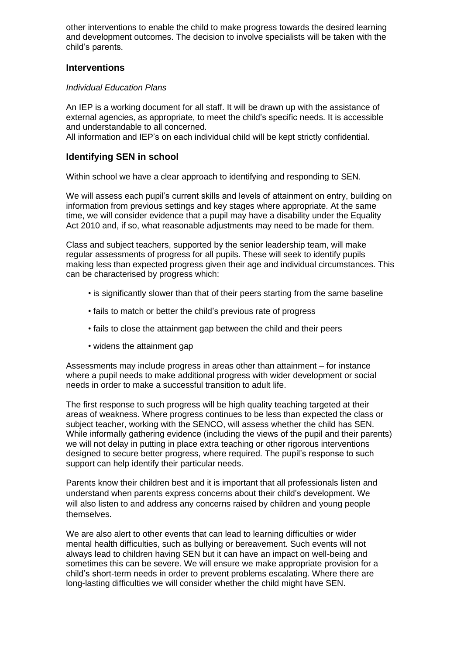other interventions to enable the child to make progress towards the desired learning and development outcomes. The decision to involve specialists will be taken with the child's parents.

## **Interventions**

### *Individual Education Plans*

An IEP is a working document for all staff. It will be drawn up with the assistance of external agencies, as appropriate, to meet the child's specific needs. It is accessible and understandable to all concerned.

All information and IEP's on each individual child will be kept strictly confidential.

## **Identifying SEN in school**

Within school we have a clear approach to identifying and responding to SEN.

We will assess each pupil's current skills and levels of attainment on entry, building on information from previous settings and key stages where appropriate. At the same time, we will consider evidence that a pupil may have a disability under the Equality Act 2010 and, if so, what reasonable adjustments may need to be made for them.

Class and subject teachers, supported by the senior leadership team, will make regular assessments of progress for all pupils. These will seek to identify pupils making less than expected progress given their age and individual circumstances. This can be characterised by progress which:

- is significantly slower than that of their peers starting from the same baseline
- fails to match or better the child's previous rate of progress
- fails to close the attainment gap between the child and their peers
- widens the attainment gap

Assessments may include progress in areas other than attainment – for instance where a pupil needs to make additional progress with wider development or social needs in order to make a successful transition to adult life.

The first response to such progress will be high quality teaching targeted at their areas of weakness. Where progress continues to be less than expected the class or subject teacher, working with the SENCO, will assess whether the child has SEN. While informally gathering evidence (including the views of the pupil and their parents) we will not delay in putting in place extra teaching or other rigorous interventions designed to secure better progress, where required. The pupil's response to such support can help identify their particular needs.

Parents know their children best and it is important that all professionals listen and understand when parents express concerns about their child's development. We will also listen to and address any concerns raised by children and young people themselves.

We are also alert to other events that can lead to learning difficulties or wider mental health difficulties, such as bullying or bereavement. Such events will not always lead to children having SEN but it can have an impact on well-being and sometimes this can be severe. We will ensure we make appropriate provision for a child's short-term needs in order to prevent problems escalating. Where there are long-lasting difficulties we will consider whether the child might have SEN.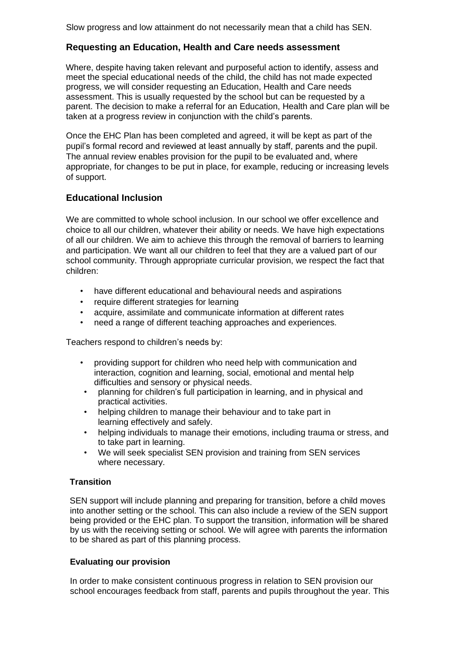Slow progress and low attainment do not necessarily mean that a child has SEN.

# **Requesting an Education, Health and Care needs assessment**

Where, despite having taken relevant and purposeful action to identify, assess and meet the special educational needs of the child, the child has not made expected progress, we will consider requesting an Education, Health and Care needs assessment. This is usually requested by the school but can be requested by a parent. The decision to make a referral for an Education, Health and Care plan will be taken at a progress review in conjunction with the child's parents.

Once the EHC Plan has been completed and agreed, it will be kept as part of the pupil's formal record and reviewed at least annually by staff, parents and the pupil. The annual review enables provision for the pupil to be evaluated and, where appropriate, for changes to be put in place, for example, reducing or increasing levels of support.

# **Educational Inclusion**

We are committed to whole school inclusion. In our school we offer excellence and choice to all our children, whatever their ability or needs. We have high expectations of all our children. We aim to achieve this through the removal of barriers to learning and participation. We want all our children to feel that they are a valued part of our school community. Through appropriate curricular provision, we respect the fact that children:

- have different educational and behavioural needs and aspirations
- require different strategies for learning
- acquire, assimilate and communicate information at different rates
- need a range of different teaching approaches and experiences.

Teachers respond to children's needs by:

- providing support for children who need help with communication and interaction, cognition and learning, social, emotional and mental help difficulties and sensory or physical needs.
- planning for children's full participation in learning, and in physical and practical activities.
- helping children to manage their behaviour and to take part in learning effectively and safely.
- helping individuals to manage their emotions, including trauma or stress, and to take part in learning.
- We will seek specialist SEN provision and training from SEN services where necessary.

# **Transition**

SEN support will include planning and preparing for transition, before a child moves into another setting or the school. This can also include a review of the SEN support being provided or the EHC plan. To support the transition, information will be shared by us with the receiving setting or school. We will agree with parents the information to be shared as part of this planning process.

### **Evaluating our provision**

In order to make consistent continuous progress in relation to SEN provision our school encourages feedback from staff, parents and pupils throughout the year. This